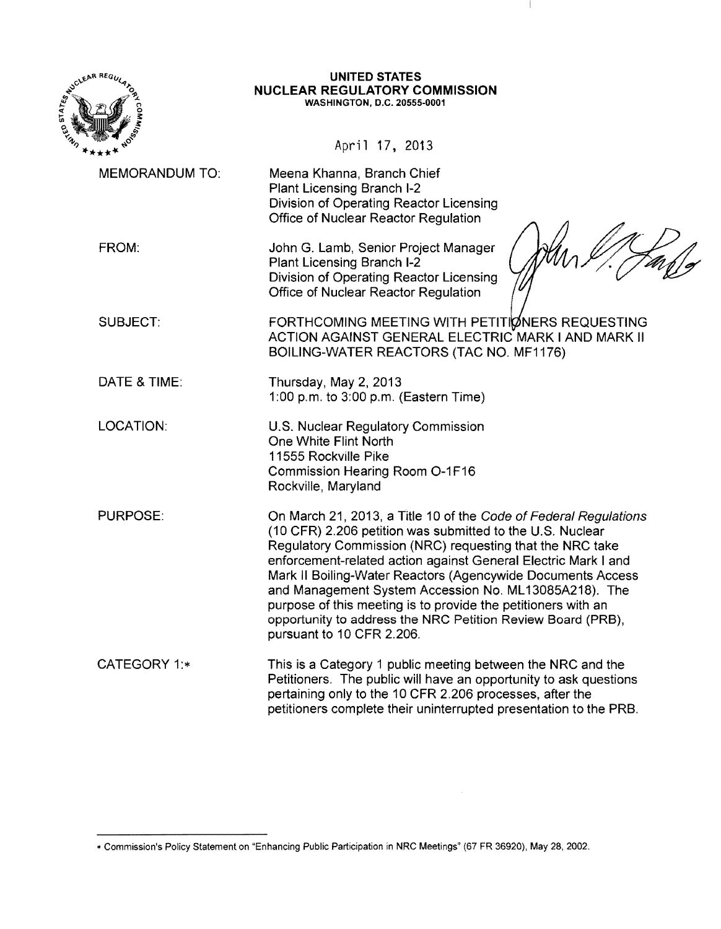

#### **UNITED STATES NUCLEAR REGULATORY COMMISSION**  WASHINGTON, D.C. 20555-0001

 $\mathbb{I}$ 

╱

April 17. 2013

| <b>MEMORANDUM TO:</b> | Meena Khanna, Branch Chief<br>Plant Licensing Branch I-2<br>Division of Operating Reactor Licensing<br>Office of Nuclear Reactor Regulation                                                                                                                                                                                                                                                                                                                                                                                                      |
|-----------------------|--------------------------------------------------------------------------------------------------------------------------------------------------------------------------------------------------------------------------------------------------------------------------------------------------------------------------------------------------------------------------------------------------------------------------------------------------------------------------------------------------------------------------------------------------|
| FROM:                 | John G. Lamb, Senior Project Manager<br>Plant Licensing Branch I-2<br>Division of Operating Reactor Licensing<br>Office of Nuclear Reactor Regulation                                                                                                                                                                                                                                                                                                                                                                                            |
| <b>SUBJECT:</b>       | FORTHCOMING MEETING WITH PETITIØNERS REQUESTING<br>ACTION AGAINST GENERAL ELECTRIC MARK I AND MARK II<br>BOILING-WATER REACTORS (TAC NO. MF1176)                                                                                                                                                                                                                                                                                                                                                                                                 |
| DATE & TIME:          | Thursday, May 2, 2013<br>1:00 p.m. to 3:00 p.m. (Eastern Time)                                                                                                                                                                                                                                                                                                                                                                                                                                                                                   |
| LOCATION:             | U.S. Nuclear Regulatory Commission<br>One White Flint North<br>11555 Rockville Pike<br>Commission Hearing Room O-1F16<br>Rockville, Maryland                                                                                                                                                                                                                                                                                                                                                                                                     |
| PURPOSE:              | On March 21, 2013, a Title 10 of the Code of Federal Regulations<br>(10 CFR) 2.206 petition was submitted to the U.S. Nuclear<br>Regulatory Commission (NRC) requesting that the NRC take<br>enforcement-related action against General Electric Mark I and<br>Mark II Boiling-Water Reactors (Agencywide Documents Access<br>and Management System Accession No. ML13085A218). The<br>purpose of this meeting is to provide the petitioners with an<br>opportunity to address the NRC Petition Review Board (PRB),<br>pursuant to 10 CFR 2.206. |
| <b>CATEGORY 1:*</b>   | This is a Category 1 public meeting between the NRC and the<br>Petitioners. The public will have an opportunity to ask questions<br>pertaining only to the 10 CFR 2.206 processes, after the<br>petitioners complete their uninterrupted presentation to the PRB.                                                                                                                                                                                                                                                                                |

<sup>\*</sup> Commission's Policy Statement on "Enhancing Public Participation in NRC Meetings" (67 FR 36920), May 28, 2002.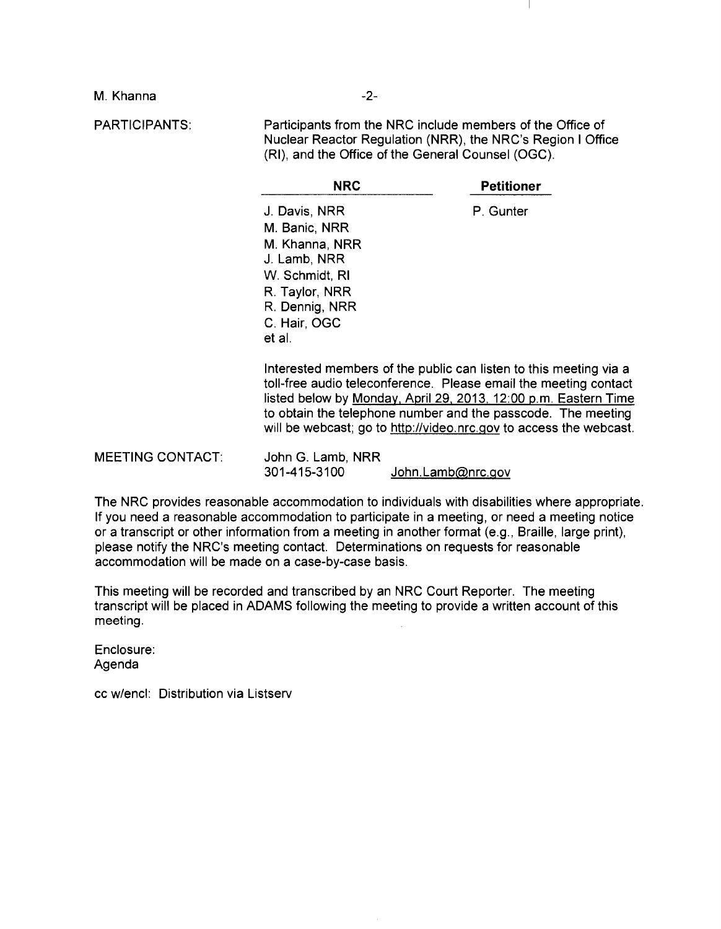M. Khanna

PARTICIPANTS:

Participants from the NRC include members of the Office of Nuclear Reactor Regulation (NRR), the NRC's Region I Office (RI), and the Office of the General Counsel (OGC).

| <b>NRC</b>     | <b>Petitioner</b>                                                                                                                                                                                        |
|----------------|----------------------------------------------------------------------------------------------------------------------------------------------------------------------------------------------------------|
| J. Davis, NRR  | P. Gunter                                                                                                                                                                                                |
| M. Banic, NRR  |                                                                                                                                                                                                          |
| M. Khanna, NRR |                                                                                                                                                                                                          |
| J. Lamb, NRR   |                                                                                                                                                                                                          |
| W. Schmidt, RI |                                                                                                                                                                                                          |
| R. Taylor, NRR |                                                                                                                                                                                                          |
| R. Dennig, NRR |                                                                                                                                                                                                          |
| C. Hair, OGC   |                                                                                                                                                                                                          |
| et al.         |                                                                                                                                                                                                          |
|                | Interested members of the public can listen to this meeting via a<br>toll-free audio teleconference. Please email the meeting contact<br>listed below by Monday, April 29, 2013, 12:00 p.m. Eastern Time |

listed below by Monday, April 29, 2013, 12:00 p.m. Eastern Time to obtain the telephone number and the passcode. The meeting will be webcast; go to http://video.nrc.gov to access the webcast.

MEETING CONTACT: John G. Lamb, NRR 301-415-3100 John.Lamb@nrc.gov

The NRC provides reasonable accommodation to individuals with disabilities where appropriate. If you need a reasonable accommodation to participate in a meeting, or need a meeting notice or a transcript or other information from a meeting in another format (e.g., Braille, large print), please notify the NRC's meeting contact. Determinations on requests for reasonable accommodation will be made on a case-by-case basis.

This meeting will be recorded and transcribed by an NRC Court Reporter. The meeting transcript will be placed in ADAMS following the meeting to provide a written account of this meeting.

Enclosure: Agenda

cc w/encl: Distribution via Listserv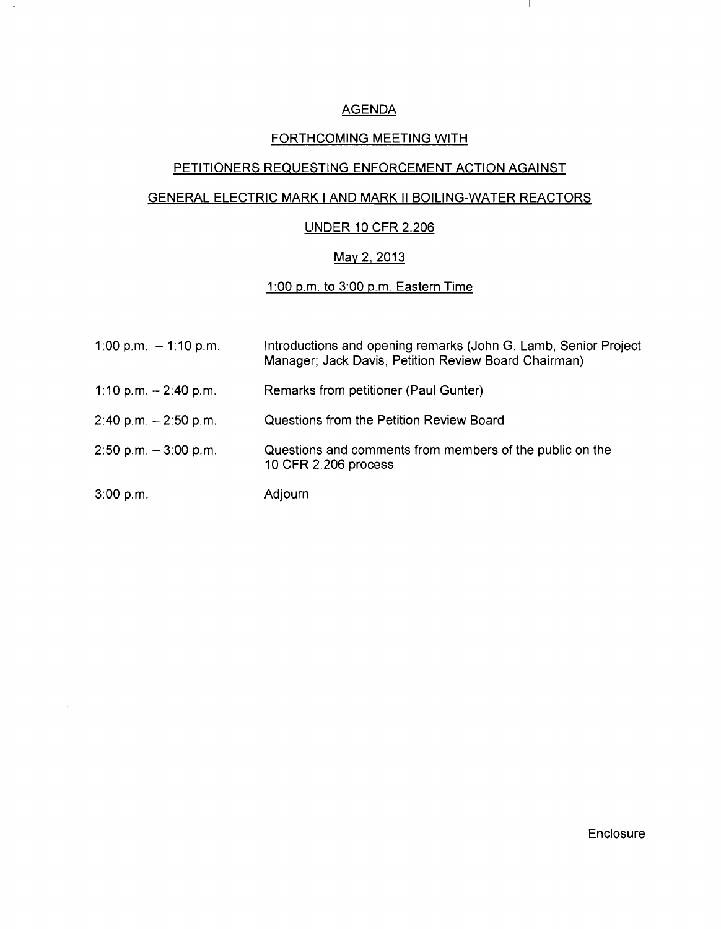## AGENDA

Ч.

 $\bar{\lambda}$ 

### FORTHCOMING MEETING WITH

# PETITIONERS REQUESTING ENFORCEMENT ACTION AGAINST

#### GENERAL ELECTRIC MARK I AND MARK II BOILING-WATER REACTORS

#### UNDER 10 CFR 2.206

### <u>May 2, 2013</u>

#### 1 :00 p.m. to 3:00 p.m. Eastern Time

| 1:00 p.m. $-$ 1:10 p.m.  | Introductions and opening remarks (John G. Lamb, Senior Project<br>Manager; Jack Davis, Petition Review Board Chairman) |
|--------------------------|-------------------------------------------------------------------------------------------------------------------------|
| 1:10 p.m. $-$ 2:40 p.m.  | Remarks from petitioner (Paul Gunter)                                                                                   |
| $2:40$ p.m. $-2:50$ p.m. | Questions from the Petition Review Board                                                                                |
| $2:50$ p.m. $-3:00$ p.m. | Questions and comments from members of the public on the<br>10 CFR 2.206 process                                        |
| 3:00 p.m.                | Adjourn                                                                                                                 |